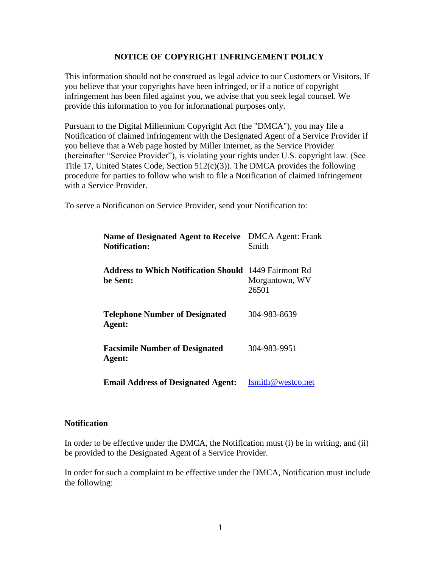## **NOTICE OF COPYRIGHT INFRINGEMENT POLICY**

This information should not be construed as legal advice to our Customers or Visitors. If you believe that your copyrights have been infringed, or if a notice of copyright infringement has been filed against you, we advise that you seek legal counsel. We provide this information to you for informational purposes only.

Pursuant to the Digital Millennium Copyright Act (the "DMCA"), you may file a Notification of claimed infringement with the Designated Agent of a Service Provider if you believe that a Web page hosted by Miller Internet, as the Service Provider (hereinafter "Service Provider"), is violating your rights under U.S. copyright law. (See Title 17, United States Code, Section 512(c)(3)). The DMCA provides the following procedure for parties to follow who wish to file a Notification of claimed infringement with a Service Provider.

To serve a Notification on Service Provider, send your Notification to:

| Name of Designated Agent to Receive DMCA Agent: Frank<br><b>Notification:</b> | Smith                   |
|-------------------------------------------------------------------------------|-------------------------|
| <b>Address to Which Notification Should</b> 1449 Fairmont Rd<br>be Sent:      | Morgantown, WV<br>26501 |
| <b>Telephone Number of Designated</b><br>Agent:                               | 304-983-8639            |
| <b>Facsimile Number of Designated</b><br>Agent:                               | 304-983-9951            |
| <b>Email Address of Designated Agent:</b>                                     | fsmith@westco.net       |

## **Notification**

In order to be effective under the DMCA, the Notification must (i) be in writing, and (ii) be provided to the Designated Agent of a Service Provider.

In order for such a complaint to be effective under the DMCA, Notification must include the following: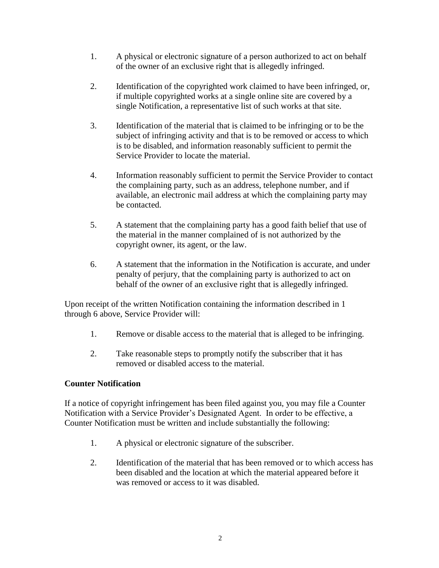- 1. A physical or electronic signature of a person authorized to act on behalf of the owner of an exclusive right that is allegedly infringed.
- 2. Identification of the copyrighted work claimed to have been infringed, or, if multiple copyrighted works at a single online site are covered by a single Notification, a representative list of such works at that site.
- 3. Identification of the material that is claimed to be infringing or to be the subject of infringing activity and that is to be removed or access to which is to be disabled, and information reasonably sufficient to permit the Service Provider to locate the material.
- 4. Information reasonably sufficient to permit the Service Provider to contact the complaining party, such as an address, telephone number, and if available, an electronic mail address at which the complaining party may be contacted.
- 5. A statement that the complaining party has a good faith belief that use of the material in the manner complained of is not authorized by the copyright owner, its agent, or the law.
- 6. A statement that the information in the Notification is accurate, and under penalty of perjury, that the complaining party is authorized to act on behalf of the owner of an exclusive right that is allegedly infringed.

Upon receipt of the written Notification containing the information described in 1 through 6 above, Service Provider will:

- 1. Remove or disable access to the material that is alleged to be infringing.
- 2. Take reasonable steps to promptly notify the subscriber that it has removed or disabled access to the material.

## **Counter Notification**

If a notice of copyright infringement has been filed against you, you may file a Counter Notification with a Service Provider's Designated Agent. In order to be effective, a Counter Notification must be written and include substantially the following:

- 1. A physical or electronic signature of the subscriber.
- 2. Identification of the material that has been removed or to which access has been disabled and the location at which the material appeared before it was removed or access to it was disabled.